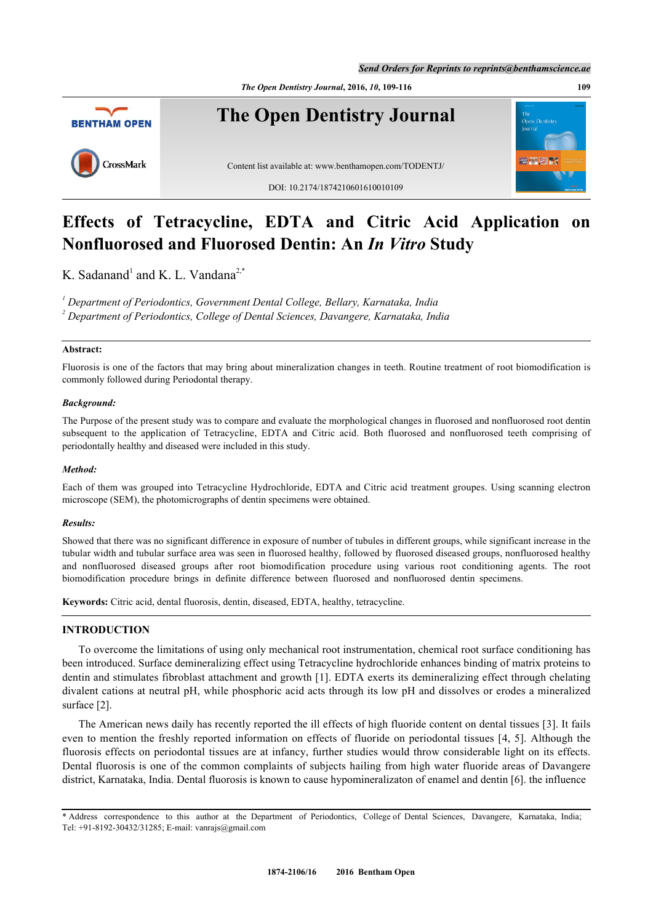*Send Orders for Reprints to reprints@benthamscience.ae*

*The Open Dentistry Journal***, 2016,** *10***, 109-116 109**



# **Effects of Tetracycline, EDTA and Citric Acid Application on Nonfluorosed and Fluorosed Dentin: An** *In Vitro* **Study**

K. Sadanand<sup>[1](#page-0-0)</sup> and K. L. Vandana<sup>[2,](#page-0-1)[\\*](#page-0-2)</sup>

<span id="page-0-1"></span><span id="page-0-0"></span>*1 Department of Periodontics, Government Dental College, Bellary, Karnataka, India 2 Department of Periodontics, College of Dental Sciences, Davangere, Karnataka, India*

# **Abstract:**

Fluorosis is one of the factors that may bring about mineralization changes in teeth. Routine treatment of root biomodification is commonly followed during Periodontal therapy.

# *Background:*

The Purpose of the present study was to compare and evaluate the morphological changes in fluorosed and nonfluorosed root dentin subsequent to the application of Tetracycline, EDTA and Citric acid. Both fluorosed and nonfluorosed teeth comprising of periodontally healthy and diseased were included in this study.

# *Method:*

Each of them was grouped into Tetracycline Hydrochloride, EDTA and Citric acid treatment groupes. Using scanning electron microscope (SEM), the photomicrographs of dentin specimens were obtained.

## *Results:*

Showed that there was no significant difference in exposure of number of tubules in different groups, while significant increase in the tubular width and tubular surface area was seen in fluorosed healthy, followed by fluorosed diseased groups, nonfluorosed healthy and nonfluorosed diseased groups after root biomodification procedure using various root conditioning agents. The root biomodification procedure brings in definite difference between fluorosed and nonfluorosed dentin specimens.

**Keywords:** Citric acid, dental fluorosis, dentin, diseased, EDTA, healthy, tetracycline.

# **INTRODUCTION**

To overcome the limitations of using only mechanical root instrumentation, chemical root surface conditioning has been introduced. Surface demineralizing effect using Tetracycline hydrochloride enhances binding of matrix proteins to dentin and stimulates fibroblast attachment and growth [[1](#page-6-0)]. EDTA exerts its demineralizing effect through chelating divalent cations at neutral pH, while phosphoric acid acts through its low pH and dissolves or erodes a mineralized surface [\[2](#page-6-1)].

The American news daily has recently reported the ill effects of high fluoride content on dental tissues [[3](#page-6-2)]. It fails even to mention the freshly reported information on effects of fluoride on periodontal tissues [[4,](#page-6-3) [5](#page-6-4)]. Although the fluorosis effects on periodontal tissues are at infancy, further studies would throw considerable light on its effects. Dental fluorosis is one of the common complaints of subjects hailing from high water fluoride areas of Davangere district, Karnataka, India. Dental fluorosis is known to cause hypomineralizaton of enamel and dentin [\[6](#page-6-5)]. the influence

<span id="page-0-2"></span>\* Address correspondence to this author at the Department of Periodontics, College of Dental Sciences, Davangere, Karnataka, India; Tel: +91-8192-30432/31285; E-mail: [vanrajs@gmail.com](mailto:vanrajs@gmail.com)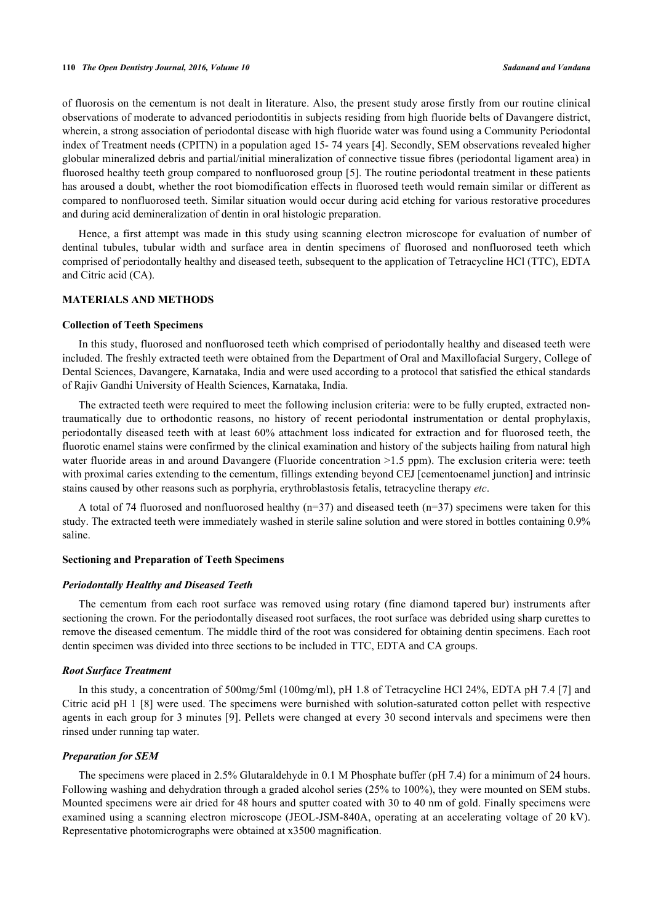of fluorosis on the cementum is not dealt in literature. Also, the present study arose firstly from our routine clinical observations of moderate to advanced periodontitis in subjects residing from high fluoride belts of Davangere district, wherein, a strong association of periodontal disease with high fluoride water was found using a Community Periodontal index of Treatment needs (CPITN) in a population aged 15- 74 years [[4\]](#page-6-3). Secondly, SEM observations revealed higher globular mineralized debris and partial/initial mineralization of connective tissue fibres (periodontal ligament area) in fluorosed healthy teeth group compared to nonfluorosed group [[5\]](#page-6-4). The routine periodontal treatment in these patients has aroused a doubt, whether the root biomodification effects in fluorosed teeth would remain similar or different as compared to nonfluorosed teeth. Similar situation would occur during acid etching for various restorative procedures and during acid demineralization of dentin in oral histologic preparation.

Hence, a first attempt was made in this study using scanning electron microscope for evaluation of number of dentinal tubules, tubular width and surface area in dentin specimens of fluorosed and nonfluorosed teeth which comprised of periodontally healthy and diseased teeth, subsequent to the application of Tetracycline HCl (TTC), EDTA and Citric acid (CA).

# **MATERIALS AND METHODS**

#### **Collection of Teeth Specimens**

In this study, fluorosed and nonfluorosed teeth which comprised of periodontally healthy and diseased teeth were included. The freshly extracted teeth were obtained from the Department of Oral and Maxillofacial Surgery, College of Dental Sciences, Davangere, Karnataka, India and were used according to a protocol that satisfied the ethical standards of Rajiv Gandhi University of Health Sciences, Karnataka, India.

The extracted teeth were required to meet the following inclusion criteria: were to be fully erupted, extracted nontraumatically due to orthodontic reasons, no history of recent periodontal instrumentation or dental prophylaxis, periodontally diseased teeth with at least 60% attachment loss indicated for extraction and for fluorosed teeth, the fluorotic enamel stains were confirmed by the clinical examination and history of the subjects hailing from natural high water fluoride areas in and around Davangere (Fluoride concentration  $>1.5$  ppm). The exclusion criteria were: teeth with proximal caries extending to the cementum, fillings extending beyond CEJ [cementoenamel junction] and intrinsic stains caused by other reasons such as porphyria, erythroblastosis fetalis, tetracycline therapy *etc*.

A total of 74 fluorosed and nonfluorosed healthy  $(n=37)$  and diseased teeth  $(n=37)$  specimens were taken for this study. The extracted teeth were immediately washed in sterile saline solution and were stored in bottles containing 0.9% saline.

## **Sectioning and Preparation of Teeth Specimens**

# *Periodontally Healthy and Diseased Teeth*

The cementum from each root surface was removed using rotary (fine diamond tapered bur) instruments after sectioning the crown. For the periodontally diseased root surfaces, the root surface was debrided using sharp curettes to remove the diseased cementum. The middle third of the root was considered for obtaining dentin specimens. Each root dentin specimen was divided into three sections to be included in TTC, EDTA and CA groups.

#### *Root Surface Treatment*

In this study, a concentration of 500mg/5ml (100mg/ml), pH 1.8 of Tetracycline HCl 24%, EDTA pH 7.4 [[7\]](#page-6-6) and Citric acid pH 1 [\[8](#page-6-7)] were used. The specimens were burnished with solution-saturated cotton pellet with respective agents in each group for 3 minutes [[9\]](#page-6-8). Pellets were changed at every 30 second intervals and specimens were then rinsed under running tap water.

#### *Preparation for SEM*

The specimens were placed in 2.5% Glutaraldehyde in 0.1 M Phosphate buffer (pH 7.4) for a minimum of 24 hours. Following washing and dehydration through a graded alcohol series (25% to 100%), they were mounted on SEM stubs. Mounted specimens were air dried for 48 hours and sputter coated with 30 to 40 nm of gold. Finally specimens were examined using a scanning electron microscope (JEOL-JSM-840A, operating at an accelerating voltage of 20 kV). Representative photomicrographs were obtained at x3500 magnification.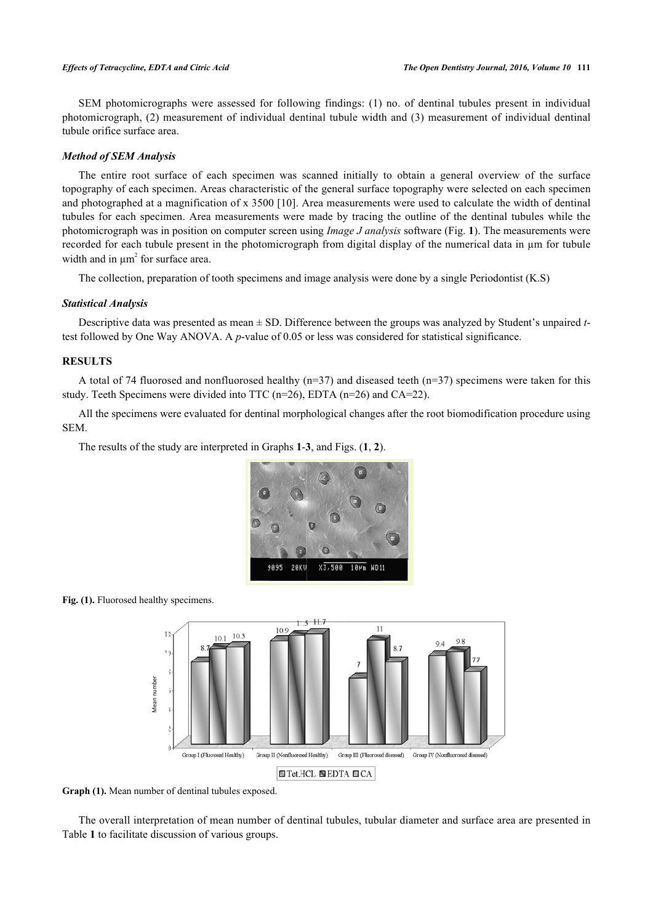SEM photomicrographs were assessed for following findings: (1) no. of dentinal tubules present in individual photomicrograph, (2) measurement of individual dentinal tubule width and (3) measurement of individual dentinal tubule orifice surface area.

# *Method of SEM Analysis*

The entire root surface of each specimen was scanned initially to obtain a general overview of the surface topography of each specimen. Areas characteristic of the general surface topography were selected on each specimen and photographed at a magnification of x 3500 [\[10](#page-6-9)]. Area measurements were used to calculate the width of dentinal tubules for each specimen. Area measurements were made by tracing the outline of the dentinal tubules while the photomicrograph was in position on computer screen using *Image J analysis* software (Fig. **[1](#page-2-0)**). The measurements were recorded for each tubule present in the photomicrograph from digital display of the numerical data in µm for tubule width and in  $\mu$ m<sup>2</sup> for surface area.

The collection, preparation of tooth specimens and image analysis were done by a single Periodontist (K.S)

#### *Statistical Analysis*

Descriptive data was presented as mean ± SD. Difference between the groups was analyzed by Student's unpaired *t*test followed by One Way ANOVA. A *p*-value of 0.05 or less was considered for statistical significance.

# **RESULTS**

A total of 74 fluorosed and nonfluorosed healthy  $(n=37)$  and diseased teeth  $(n=37)$  specimens were taken for this study. Teeth Specimens were divided into TTC (n=26), EDTA (n=26) and CA=22).

All the specimens were evaluated for dentinal morphological changes after the root biomodification procedure using SEM.

<span id="page-2-0"></span>The results of the study are interpreted in Graphs **[1](#page-2-1)**-**[3](#page-4-0)**, and Figs. (**[1](#page-2-0)**, **[2](#page-3-0)**).



<span id="page-2-1"></span>Fig. (1). Fluorosed healthy specimens.



**Graph (1).** Mean number of dentinal tubules exposed.

<span id="page-2-2"></span>The overall interpretation of mean number of dentinal tubules, tubular diameter and surface area are presented in Table **[1](#page-2-2)** to facilitate discussion of various groups.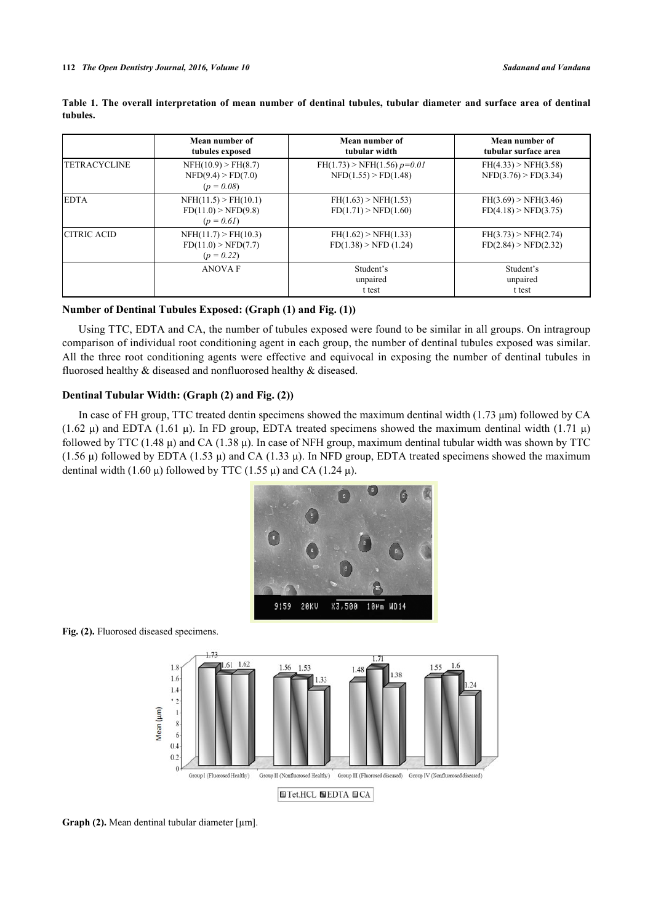|                     | Mean number of<br>tubules exposed                           | Mean number of<br>tubular width                         | Mean number of<br>tubular surface area       |
|---------------------|-------------------------------------------------------------|---------------------------------------------------------|----------------------------------------------|
| <b>TETRACYCLINE</b> | NFH(10.9) > FH(8.7)<br>NFD(9.4) > FD(7.0)<br>$(p = 0.08)$   | $FH(1.73)$ > NFH(1.56) $p=0.01$<br>NFD(1.55) > FD(1.48) | FH(4.33) > NFH(3.58)<br>NFD(3.76) > FD(3.34) |
| <b>EDTA</b>         | NFH(11.5) > FH(10.1)<br>FD(11.0) > NFD(9.8)<br>$(p = 0.61)$ | FH(1.63) > NFH(1.53)<br>FD(1.71) > NFD(1.60)            | FH(3.69) > NFH(3.46)<br>FD(4.18) > NFD(3.75) |
| <b>CITRIC ACID</b>  | NFH(11.7) > FH(10.3)<br>FD(11.0) > NFD(7.7)<br>$(p = 0.22)$ | FH(1.62) > NFH(1.33)<br>FD(1.38) > NFD(1.24)            | FH(3.73) > NFH(2.74)<br>FD(2.84) > NFD(2.32) |
|                     | <b>ANOVA F</b>                                              | Student's<br>unpaired<br>t test                         | Student's<br>unpaired<br>t test              |

**Table 1. The overall interpretation of mean number of dentinal tubules, tubular diameter and surface area of dentinal tubules.**

# **Number of Dentinal Tubules Exposed: (Graph [\(1](#page-2-1)) and Fig. ([1\)](#page-2-0))**

Using TTC, EDTA and CA, the number of tubules exposed were found to be similar in all groups. On intragroup comparison of individual root conditioning agent in each group, the number of dentinal tubules exposed was similar. All the three root conditioning agents were effective and equivocal in exposing the number of dentinal tubules in fluorosed healthy & diseased and nonfluorosed healthy & diseased.

# **Dentinal Tubular Width: (Graph [\(2](#page-3-1)) and Fig. [\(2](#page-3-0)))**

<span id="page-3-0"></span>In case of FH group, TTC treated dentin specimens showed the maximum dentinal width (1.73 μm) followed by CA (1.62 μ) and EDTA (1.61 μ). In FD group, EDTA treated specimens showed the maximum dentinal width (1.71 μ) followed by TTC (1.48  $\mu$ ) and CA (1.38  $\mu$ ). In case of NFH group, maximum dentinal tubular width was shown by TTC  $(1.56 \mu)$  followed by EDTA  $(1.53 \mu)$  and CA  $(1.33 \mu)$ . In NFD group, EDTA treated specimens showed the maximum dentinal width (1.60 μ) followed by TTC (1.55 μ) and CA (1.24 μ).



<span id="page-3-1"></span>



Graph (2). Mean dentinal tubular diameter [µm].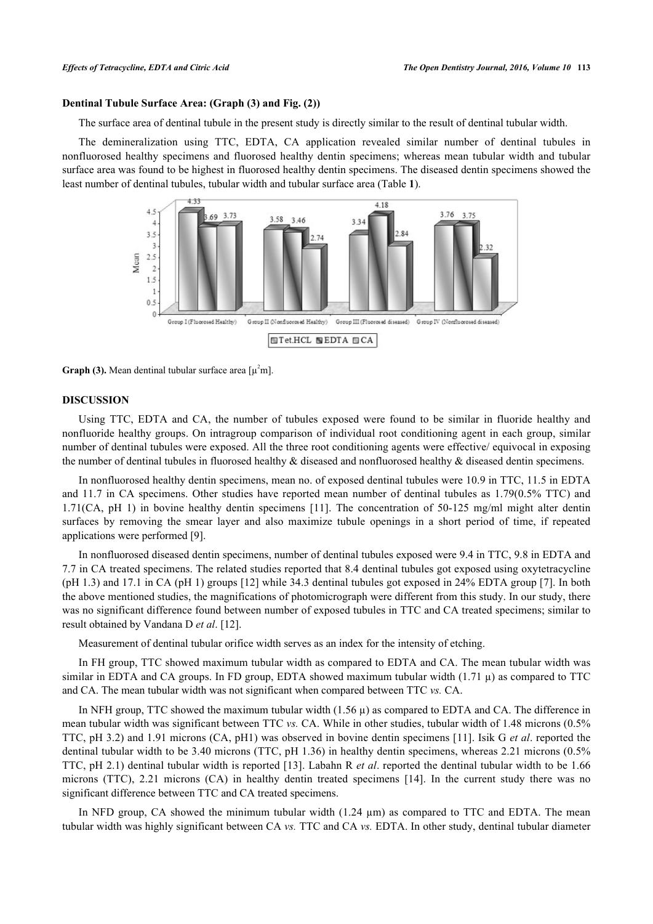# **Dentinal Tubule Surface Area: (Graph ([3\)](#page-4-0) and Fig. [\(2](#page-3-0)))**

The surface area of dentinal tubule in the present study is directly similar to the result of dentinal tubular width.

<span id="page-4-0"></span>The demineralization using TTC, EDTA, CA application revealed similar number of dentinal tubules in nonfluorosed healthy specimens and fluorosed healthy dentin specimens; whereas mean tubular width and tubular surface area was found to be highest in fluorosed healthy dentin specimens. The diseased dentin specimens showed the least number of dentinal tubules, tubular width and tubular surface area (Table **[1](#page-2-2)**).



**Graph (3).** Mean dentinal tubular surface area  $\lceil \mu^2 m \rceil$ .

#### **DISCUSSION**

Using TTC, EDTA and CA, the number of tubules exposed were found to be similar in fluoride healthy and nonfluoride healthy groups. On intragroup comparison of individual root conditioning agent in each group, similar number of dentinal tubules were exposed. All the three root conditioning agents were effective/ equivocal in exposing the number of dentinal tubules in fluorosed healthy & diseased and nonfluorosed healthy & diseased dentin specimens.

In nonfluorosed healthy dentin specimens, mean no. of exposed dentinal tubules were 10.9 in TTC, 11.5 in EDTA and 11.7 in CA specimens. Other studies have reported mean number of dentinal tubules as 1.79(0.5% TTC) and 1.71(CA, pH 1) in bovine healthy dentin specimens[[11](#page-6-10)]. The concentration of 50-125 mg/ml might alter dentin surfaces by removing the smear layer and also maximize tubule openings in a short period of time, if repeated applications were performed [[9\]](#page-6-8).

In nonfluorosed diseased dentin specimens, number of dentinal tubules exposed were 9.4 in TTC, 9.8 in EDTA and 7.7 in CA treated specimens. The related studies reported that 8.4 dentinal tubules got exposed using oxytetracycline (pH 1.3) and 17.1 in CA (pH 1) groups [[12\]](#page-6-11) while 34.3 dentinal tubules got exposed in 24% EDTA group [[7\]](#page-6-6). In both the above mentioned studies, the magnifications of photomicrograph were different from this study. In our study, there was no significant difference found between number of exposed tubules in TTC and CA treated specimens; similar to result obtained by Vandana D *et al*. [\[12](#page-6-11)].

Measurement of dentinal tubular orifice width serves as an index for the intensity of etching.

In FH group, TTC showed maximum tubular width as compared to EDTA and CA. The mean tubular width was similar in EDTA and CA groups. In FD group, EDTA showed maximum tubular width  $(1.71 \mu)$  as compared to TTC and CA. The mean tubular width was not significant when compared between TTC *vs.* CA.

In NFH group, TTC showed the maximum tubular width  $(1.56 \mu)$  as compared to EDTA and CA. The difference in mean tubular width was significant between TTC *vs.* CA. While in other studies, tubular width of 1.48 microns (0.5% TTC, pH 3.2) and 1.91 microns (CA, pH1) was observed in bovine dentin specimens [[11\]](#page-6-10). Isik G *et al*. reported the dentinal tubular width to be 3.40 microns (TTC, pH 1.36) in healthy dentin specimens, whereas 2.21 microns (0.5% TTC, pH 2.1) dentinal tubular width is reported [[13](#page-6-12)]. Labahn R *et al*. reported the dentinal tubular width to be 1.66 microns (TTC), 2.21 microns (CA) in healthy dentin treated specimens [\[14\]](#page-7-0). In the current study there was no significant difference between TTC and CA treated specimens.

In NFD group, CA showed the minimum tubular width  $(1.24 \mu m)$  as compared to TTC and EDTA. The mean tubular width was highly significant between CA *vs.* TTC and CA *vs.* EDTA. In other study, dentinal tubular diameter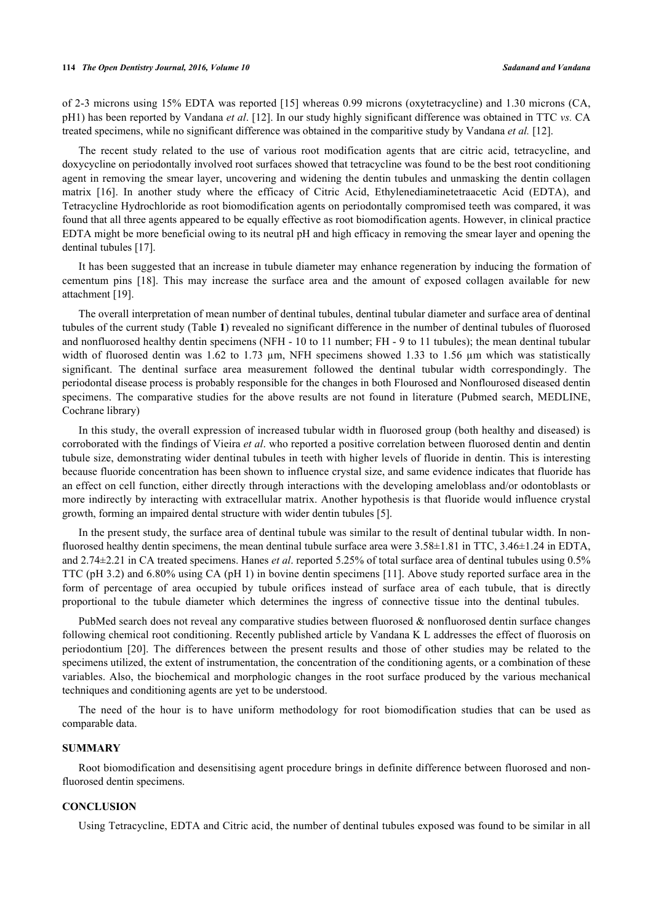of 2-3 microns using 15% EDTA was reported [[15](#page-7-1)] whereas 0.99 microns (oxytetracycline) and 1.30 microns (CA, pH1) has been reported by Vandana *et al*. [\[12](#page-6-11)]. In our study highly significant difference was obtained in TTC *vs.* CA treated specimens, while no significant difference was obtained in the comparitive study by Vandana *et al.* [[12\]](#page-6-11).

The recent study related to the use of various root modification agents that are citric acid, tetracycline, and doxycycline on periodontally involved root surfaces showed that tetracycline was found to be the best root conditioning agent in removing the smear layer, uncovering and widening the dentin tubules and unmasking the dentin collagen matrix[[16\]](#page-7-2). In another study where the efficacy of Citric Acid, Ethylenediaminetetraacetic Acid (EDTA), and Tetracycline Hydrochloride as root biomodification agents on periodontally compromised teeth was compared, it was found that all three agents appeared to be equally effective as root biomodification agents. However, in clinical practice EDTA might be more beneficial owing to its neutral pH and high efficacy in removing the smear layer and opening the dentinal tubules [\[17](#page-7-3)].

It has been suggested that an increase in tubule diameter may enhance regeneration by inducing the formation of cementum pins [\[18\]](#page-7-4). This may increase the surface area and the amount of exposed collagen available for new attachment [\[19](#page-7-5)].

The overall interpretation of mean number of dentinal tubules, dentinal tubular diameter and surface area of dentinal tubules of the current study (Table **[1](#page-2-2)**) revealed no significant difference in the number of dentinal tubules of fluorosed and nonfluorosed healthy dentin specimens (NFH - 10 to 11 number; FH - 9 to 11 tubules); the mean dentinal tubular width of fluorosed dentin was 1.62 to 1.73 µm, NFH specimens showed 1.33 to 1.56 µm which was statistically significant. The dentinal surface area measurement followed the dentinal tubular width correspondingly. The periodontal disease process is probably responsible for the changes in both Flourosed and Nonflourosed diseased dentin specimens. The comparative studies for the above results are not found in literature (Pubmed search, MEDLINE, Cochrane library)

In this study, the overall expression of increased tubular width in fluorosed group (both healthy and diseased) is corroborated with the findings of Vieira *et al*. who reported a positive correlation between fluorosed dentin and dentin tubule size, demonstrating wider dentinal tubules in teeth with higher levels of fluoride in dentin. This is interesting because fluoride concentration has been shown to influence crystal size, and same evidence indicates that fluoride has an effect on cell function, either directly through interactions with the developing ameloblass and/or odontoblasts or more indirectly by interacting with extracellular matrix. Another hypothesis is that fluoride would influence crystal growth, forming an impaired dental structure with wider dentin tubules [[5\]](#page-6-4).

In the present study, the surface area of dentinal tubule was similar to the result of dentinal tubular width. In nonfluorosed healthy dentin specimens, the mean dentinal tubule surface area were  $3.58\pm1.81$  in TTC,  $3.46\pm1.24$  in EDTA, and 2.74±2.21 in CA treated specimens. Hanes *et al*. reported 5.25% of total surface area of dentinal tubules using 0.5% TTC (pH 3.2) and 6.80% using CA (pH 1) in bovine dentin specimens [[11\]](#page-6-10). Above study reported surface area in the form of percentage of area occupied by tubule orifices instead of surface area of each tubule, that is directly proportional to the tubule diameter which determines the ingress of connective tissue into the dentinal tubules.

PubMed search does not reveal any comparative studies between fluorosed & nonfluorosed dentin surface changes following chemical root conditioning. Recently published article by Vandana K L addresses the effect of fluorosis on periodontium[[20\]](#page-7-6). The differences between the present results and those of other studies may be related to the specimens utilized, the extent of instrumentation, the concentration of the conditioning agents, or a combination of these variables. Also, the biochemical and morphologic changes in the root surface produced by the various mechanical techniques and conditioning agents are yet to be understood.

The need of the hour is to have uniform methodology for root biomodification studies that can be used as comparable data.

# **SUMMARY**

Root biomodification and desensitising agent procedure brings in definite difference between fluorosed and nonfluorosed dentin specimens.

## **CONCLUSION**

Using Tetracycline, EDTA and Citric acid, the number of dentinal tubules exposed was found to be similar in all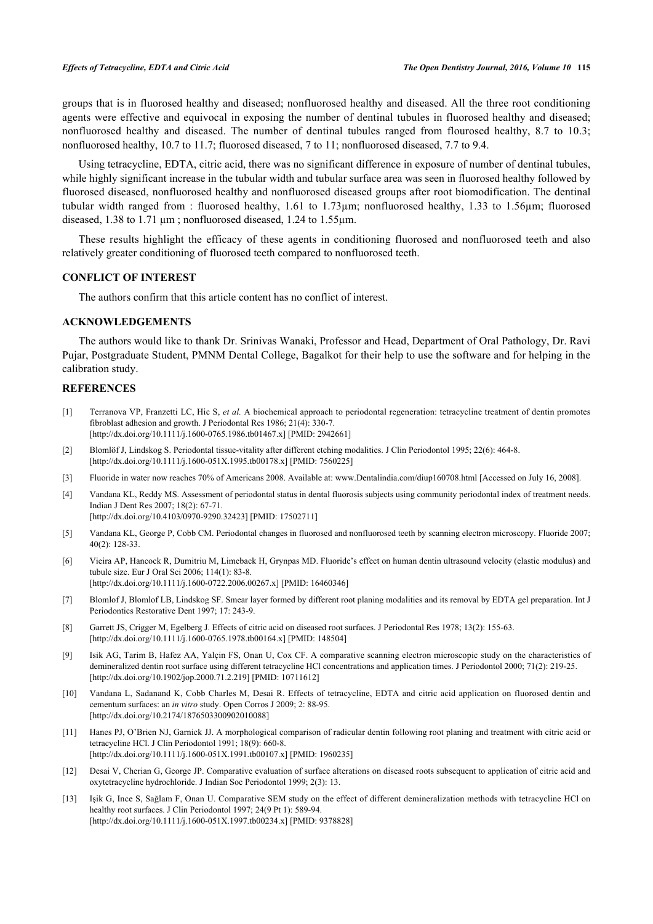groups that is in fluorosed healthy and diseased; nonfluorosed healthy and diseased. All the three root conditioning agents were effective and equivocal in exposing the number of dentinal tubules in fluorosed healthy and diseased; nonfluorosed healthy and diseased. The number of dentinal tubules ranged from flourosed healthy, 8.7 to 10.3; nonfluorosed healthy, 10.7 to 11.7; fluorosed diseased, 7 to 11; nonfluorosed diseased, 7.7 to 9.4.

Using tetracycline, EDTA, citric acid, there was no significant difference in exposure of number of dentinal tubules, while highly significant increase in the tubular width and tubular surface area was seen in fluorosed healthy followed by fluorosed diseased, nonfluorosed healthy and nonfluorosed diseased groups after root biomodification. The dentinal tubular width ranged from : fluorosed healthy, 1.61 to 1.73µm; nonfluorosed healthy, 1.33 to 1.56µm; fluorosed diseased, 1.38 to 1.71  $\mu$ m; nonfluorosed diseased, 1.24 to 1.55 $\mu$ m.

These results highlight the efficacy of these agents in conditioning fluorosed and nonfluorosed teeth and also relatively greater conditioning of fluorosed teeth compared to nonfluorosed teeth.

# **CONFLICT OF INTEREST**

The authors confirm that this article content has no conflict of interest.

# **ACKNOWLEDGEMENTS**

The authors would like to thank Dr. Srinivas Wanaki, Professor and Head, Department of Oral Pathology, Dr. Ravi Pujar, Postgraduate Student, PMNM Dental College, Bagalkot for their help to use the software and for helping in the calibration study.

# **REFERENCES**

- <span id="page-6-0"></span>[1] Terranova VP, Franzetti LC, Hic S, *et al.* A biochemical approach to periodontal regeneration: tetracycline treatment of dentin promotes fibroblast adhesion and growth. J Periodontal Res 1986; 21(4): 330-7. [\[http://dx.doi.org/10.1111/j.1600-0765.1986.tb01467.x\]](http://dx.doi.org/10.1111/j.1600-0765.1986.tb01467.x) [PMID: [2942661](http://www.ncbi.nlm.nih.gov/pubmed/2942661)]
- <span id="page-6-1"></span>[2] Blomlöf J, Lindskog S. Periodontal tissue-vitality after different etching modalities. J Clin Periodontol 1995; 22(6): 464-8. [\[http://dx.doi.org/10.1111/j.1600-051X.1995.tb00178.x\]](http://dx.doi.org/10.1111/j.1600-051X.1995.tb00178.x) [PMID: [7560225](http://www.ncbi.nlm.nih.gov/pubmed/7560225)]
- <span id="page-6-2"></span>[3] Fluoride in water now reaches 70% of Americans 2008. Available at: [www.Dentalindia.com/diup160708.html](http://192.168.111.2/oa/www.Dentalindia.com/diup160708) [Accessed on July 16, 2008].
- <span id="page-6-3"></span>[4] Vandana KL, Reddy MS. Assessment of periodontal status in dental fluorosis subjects using community periodontal index of treatment needs. Indian J Dent Res 2007; 18(2): 67-71. [\[http://dx.doi.org/10.4103/0970-9290.32423](http://dx.doi.org/10.4103/0970-9290.32423)] [PMID: [17502711](http://www.ncbi.nlm.nih.gov/pubmed/17502711)]
- <span id="page-6-4"></span>[5] Vandana KL, George P, Cobb CM. Periodontal changes in fluorosed and nonfluorosed teeth by scanning electron microscopy. Fluoride 2007; 40(2): 128-33.
- <span id="page-6-5"></span>[6] Vieira AP, Hancock R, Dumitriu M, Limeback H, Grynpas MD. Fluoride's effect on human dentin ultrasound velocity (elastic modulus) and tubule size. Eur J Oral Sci 2006; 114(1): 83-8. [\[http://dx.doi.org/10.1111/j.1600-0722.2006.00267.x\]](http://dx.doi.org/10.1111/j.1600-0722.2006.00267.x) [PMID: [16460346](http://www.ncbi.nlm.nih.gov/pubmed/16460346)]
- <span id="page-6-6"></span>[7] Blomlof J, Blomlof LB, Lindskog SF. Smear layer formed by different root planing modalities and its removal by EDTA gel preparation. Int J Periodontics Restorative Dent 1997; 17: 243-9.
- <span id="page-6-7"></span>[8] Garrett JS, Crigger M, Egelberg J. Effects of citric acid on diseased root surfaces. J Periodontal Res 1978; 13(2): 155-63. [\[http://dx.doi.org/10.1111/j.1600-0765.1978.tb00164.x\]](http://dx.doi.org/10.1111/j.1600-0765.1978.tb00164.x) [PMID: [148504](http://www.ncbi.nlm.nih.gov/pubmed/148504)]
- <span id="page-6-8"></span>[9] Isik AG, Tarim B, Hafez AA, Yalçin FS, Onan U, Cox CF. A comparative scanning electron microscopic study on the characteristics of demineralized dentin root surface using different tetracycline HCl concentrations and application times. J Periodontol 2000; 71(2): 219-25. [\[http://dx.doi.org/10.1902/jop.2000.71.2.219](http://dx.doi.org/10.1902/jop.2000.71.2.219)] [PMID: [10711612\]](http://www.ncbi.nlm.nih.gov/pubmed/10711612)
- <span id="page-6-9"></span>[10] Vandana L, Sadanand K, Cobb Charles M, Desai R. Effects of tetracycline, EDTA and citric acid application on fluorosed dentin and cementum surfaces: an *in vitro* study. Open Corros J 2009; 2: 88-95. [\[http://dx.doi.org/10.2174/1876503300902010088\]](http://dx.doi.org/10.2174/1876503300902010088)
- <span id="page-6-10"></span>[11] Hanes PJ, O'Brien NJ, Garnick JJ. A morphological comparison of radicular dentin following root planing and treatment with citric acid or tetracycline HCl. J Clin Periodontol 1991; 18(9): 660-8. [\[http://dx.doi.org/10.1111/j.1600-051X.1991.tb00107.x\]](http://dx.doi.org/10.1111/j.1600-051X.1991.tb00107.x) [PMID: [1960235](http://www.ncbi.nlm.nih.gov/pubmed/1960235)]
- <span id="page-6-11"></span>[12] Desai V, Cherian G, George JP. Comparative evaluation of surface alterations on diseased roots subsequent to application of citric acid and oxytetracycline hydrochloride. J Indian Soc Periodontol 1999; 2(3): 13.
- <span id="page-6-12"></span>[13] Işik G, Ince S, Sağlam F, Onan U. Comparative SEM study on the effect of different demineralization methods with tetracycline HCl on healthy root surfaces. J Clin Periodontol 1997; 24(9 Pt 1): 589-94. [\[http://dx.doi.org/10.1111/j.1600-051X.1997.tb00234.x\]](http://dx.doi.org/10.1111/j.1600-051X.1997.tb00234.x) [PMID: [9378828](http://www.ncbi.nlm.nih.gov/pubmed/9378828)]